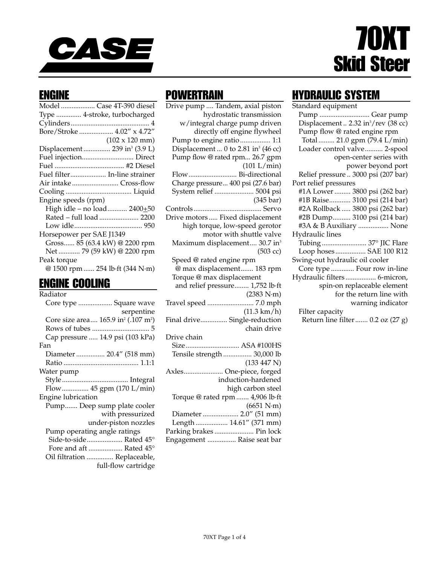

# 70XT Skid Steer

#### ENGINE

|                          | Model  Case 4T-390 diesel                 |
|--------------------------|-------------------------------------------|
|                          | Type  4-stroke, turbocharged              |
|                          |                                           |
|                          | Bore/Stroke  4.02" x 4.72"                |
|                          | $(102 \times 120 \text{ mm})$             |
|                          | Displacement  239 in <sup>3</sup> (3.9 L) |
|                          | Fuel injection Direct                     |
|                          |                                           |
|                          | Fuel filter In-line strainer              |
|                          | Air intakeCross-flow                      |
|                          |                                           |
| Engine speeds (rpm)      |                                           |
|                          | High idle - no load 2400+50               |
|                          | Rated - full load  2200                   |
|                          |                                           |
| Horsepower per SAE J1349 |                                           |
|                          | Gross 85 (63.4 kW) @ 2200 rpm             |
|                          | Net  79 (59 kW) @ 2200 rpm                |
| Peak torque              |                                           |
|                          | @ 1500 rpm  254 lb·ft (344 N·m)           |
|                          |                                           |

#### ENGINE COOLING

| Radiator                                                    |
|-------------------------------------------------------------|
| Core type  Square wave                                      |
| serpentine                                                  |
| Core size area 165.9 in <sup>2</sup> (.107 m <sup>2</sup> ) |
|                                                             |
| Cap pressure  14.9 psi (103 kPa)                            |
| Fan                                                         |
| Diameter  20.4" (518 mm)                                    |
|                                                             |
| Water pump                                                  |
|                                                             |
| Flow 45 gpm (170 L/min)                                     |
| Engine lubrication                                          |
| Pump Deep sump plate cooler                                 |
| with pressurized                                            |
| under-piston nozzles                                        |
| Pump operating angle ratings                                |
| Side-to-side Rated 45°                                      |
| Fore and aft  Rated 45°                                     |
| Oil filtration  Replaceable,                                |
| full-flow cartridge                                         |

#### **POWERTRAIN**

Drive pump .... Tandem, axial piston hydrostatic transmission w/integral charge pump driven directly off engine flywheel Pump to engine ratio................. 1:1 Displacement ... 0 to 2.81 in<sup>3</sup> (46 cc) Pump flow @ rated rpm... 26.7 gpm (101 L/min) Flow........................... Bi-directional Charge pressure... 400 psi (27.6 bar) System relief ...................... 5004 psi (345 bar) Controls...................................... Servo Drive motors ..... Fixed displacement high torque, low-speed gerotor motor with shuttle valve Maximum displacement.... 30.7 in<sup>3</sup> (503 cc) Speed @ rated engine rpm @ max displacement....... 183 rpm Torque @ max displacement and relief pressure........ 1,752 lb·ft (2383 N·m) Travel speed .......................... 7.0 mph (11.3 km/h) Final drive............... Single-reduction chain drive Drive chain Size.............................. ASA #100HS Tensile strength ................ 30,000 lb (133 447 N) Axles...................... One-piece, forged induction-hardened high carbon steel Torque @ rated rpm ....... 4,906 lb·ft (6651 N·m) Diameter .................... 2.0" (51 mm) Length .................. 14.61" (371 mm) Parking brakes ...................... Pin lock

#### HYDRAULIC SYSTEM

| Standard equipment                              |
|-------------------------------------------------|
| Pump  Gear pump                                 |
| Displacement  2.32 in <sup>3</sup> /rev (38 cc) |
| Pump flow @ rated engine rpm                    |
| Total 21.0 gpm (79.4 L/min)                     |
| Loader control valve 2-spool                    |
| open-center series with                         |
| power beyond port                               |
| Relief pressure  3000 psi (207 bar)             |
| Port relief pressures                           |
| #1A Lower  3800 psi (262 bar)                   |
| #1B Raise 3100 psi (214 bar)                    |
| #2A Rollback  3800 psi (262 bar)                |
| #2B Dump 3100 psi (214 bar)                     |
| #3A & B Auxiliary  None                         |
| Hydraulic lines                                 |
| Tubing 37° JIC Flare                            |
| Loop hoses SAE 100 R12                          |
| Swing-out hydraulic oil cooler                  |
| Core type  Four row in-line                     |
| Hydraulic filters 6-micron,                     |
| spin-on replaceable element                     |
| for the return line with                        |
| warning indicator                               |
| Filter capacity                                 |
| Return line filter  0.2 oz (27 g)               |

Engagement ................ Raise seat bar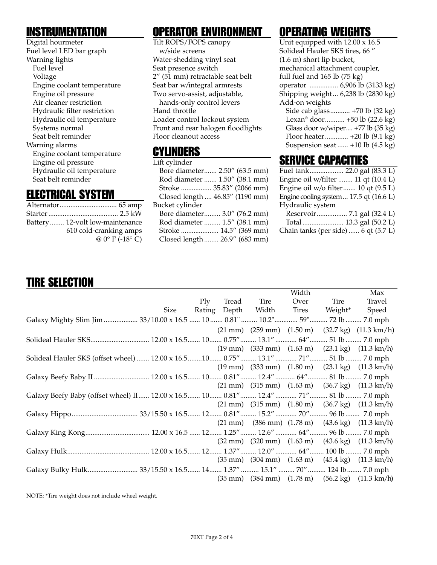#### **INSTRUMENTATION**

Digital hourmeter Fuel level LED bar graph Warning lights Fuel level Voltage Engine coolant temperature Engine oil pressure Air cleaner restriction Hydraulic filter restriction Hydraulic oil temperature Systems normal Seat belt reminder Warning alarms Engine coolant temperature Engine oil pressure Hydraulic oil temperature Seat belt reminder

#### ELECTRICAL SYSTEM

| Battery 12-volt low-maintenance |
|---------------------------------|
| 610 cold-cranking amps          |
| $@0° F (-18° C)$                |

#### OPERATOR ENVIRONMENT

Tilt ROPS/FOPS canopy w/side screens Water-shedding vinyl seat Seat presence switch 2" (51 mm) retractable seat belt Seat bar w/integral armrests Two servo-assist, adjustable, hands-only control levers Hand throttle Loader control lockout system Front and rear halogen floodlights Floor cleanout access

#### CYLINDERS

| Lift cylinder                   |
|---------------------------------|
| Bore diameter 2.50" (63.5 mm)   |
| Rod diameter  1.50" (38.1 mm)   |
| Stroke  35.83" (2066 mm)        |
| Closed length  46.85" (1190 mm) |
| Bucket cylinder                 |
| Bore diameter 3.0" (76.2 mm)    |
| Rod diameter  1.5" (38.1 mm)    |
| Stroke  14.5" (369 mm)          |
| Closed length  26.9" (683 mm)   |
|                                 |

## OPERATING WEIGHTS

## **SERVICE CAPACITIES**

| Fuel tank 22.0 gal (83.3 L)                        |  |
|----------------------------------------------------|--|
| Engine oil w/filter  11 qt (10.4 L)                |  |
| Engine oil w/o filter 10 qt (9.5 L)                |  |
| Engine cooling system $17.5$ qt $(16.6 \text{ L})$ |  |
| Hydraulic system                                   |  |
|                                                    |  |
|                                                    |  |

Chain tanks (per side) ...... 6 qt (5.7 L)

## TIRE SELECTION

|                                                                                        |            |              |       | Width |         | Max                                                                                               |
|----------------------------------------------------------------------------------------|------------|--------------|-------|-------|---------|---------------------------------------------------------------------------------------------------|
|                                                                                        | $\rm{Ply}$ | Tread        | Tire  | Over  | Tire    | Travel                                                                                            |
| Size                                                                                   |            | Rating Depth | Width | Tires | Weight* | Speed                                                                                             |
| Galaxy Mighty Slim Jim  33/10.00 x 16.5  10  0.81"  10.2"  59"  72 lb  7.0 mph         |            |              |       |       |         |                                                                                                   |
|                                                                                        |            |              |       |       |         | $(21 \text{ mm})$ $(259 \text{ mm})$ $(1.50 \text{ m})$ $(32.7 \text{ kg})$ $(11.3 \text{ km/h})$ |
| Solideal Hauler SKS 12.00 x 16.5 10 0.75" 13.1" 64" 51 lb 7.0 mph                      |            |              |       |       |         |                                                                                                   |
|                                                                                        |            |              |       |       |         | $(19 \text{ mm})$ $(333 \text{ mm})$ $(1.63 \text{ m})$ $(23.1 \text{ kg})$ $(11.3 \text{ km/h})$ |
| Solideal Hauler SKS (offset wheel)  12.00 x 16.5 10  0.75"  13.1"  71"  51 lb  7.0 mph |            |              |       |       |         |                                                                                                   |
|                                                                                        |            |              |       |       |         | $(19 \text{ mm})$ $(333 \text{ mm})$ $(1.80 \text{ m})$ $(23.1 \text{ kg})$ $(11.3 \text{ km/h})$ |
| Galaxy Beefy Baby II  12.00 x 16.5 10 0.81" 12.4" 64" 81 lb  7.0 mph                   |            |              |       |       |         |                                                                                                   |
|                                                                                        |            |              |       |       |         | $(21 \text{ mm})$ $(315 \text{ mm})$ $(1.63 \text{ m})$ $(36.7 \text{ kg})$ $(11.3 \text{ km/h})$ |
| Galaxy Beefy Baby (offset wheel) II 12.00 x 16.5 10 0.81" 12.4" 71" 81 lb 7.0 mph      |            |              |       |       |         |                                                                                                   |
|                                                                                        |            |              |       |       |         | $(21 \text{ mm})$ $(315 \text{ mm})$ $(1.80 \text{ m})$ $(36.7 \text{ kg})$ $(11.3 \text{ km/h})$ |
|                                                                                        |            |              |       |       |         |                                                                                                   |
|                                                                                        |            |              |       |       |         | $(21 \text{ mm})$ $(386 \text{ mm})$ $(1.78 \text{ m})$ $(43.6 \text{ kg})$ $(11.3 \text{ km/h})$ |
|                                                                                        |            |              |       |       |         |                                                                                                   |
|                                                                                        |            |              |       |       |         | $(32 \text{ mm})$ $(320 \text{ mm})$ $(1.63 \text{ m})$ $(43.6 \text{ kg})$ $(11.3 \text{ km/h})$ |
|                                                                                        |            |              |       |       |         |                                                                                                   |
|                                                                                        |            |              |       |       |         | $(35 \text{ mm})$ $(304 \text{ mm})$ $(1.63 \text{ m})$ $(45.4 \text{ kg})$ $(11.3 \text{ km/h})$ |
|                                                                                        |            |              |       |       |         |                                                                                                   |
|                                                                                        |            |              |       |       |         | $(35 \text{ mm})$ $(384 \text{ mm})$ $(1.78 \text{ m})$ $(56.2 \text{ kg})$ $(11.3 \text{ km/h})$ |

NOTE: \*Tire weight does not include wheel weight.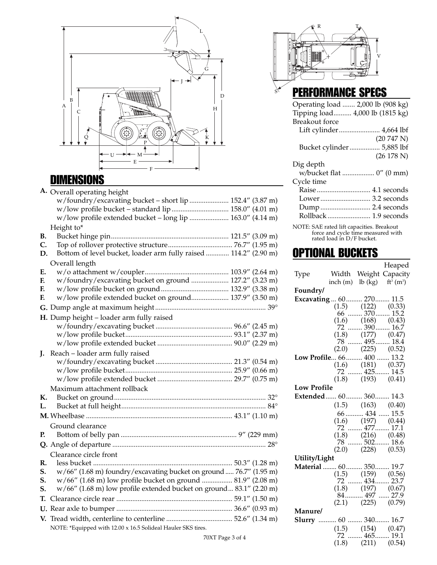

## DIMENSIONS

|    | A. Overall operating height                                         |  |  |
|----|---------------------------------------------------------------------|--|--|
|    | w/foundry/excavating bucket - short lip  152.4" (3.87 m)            |  |  |
|    | w/low profile bucket - standard lip  158.0" (4.01 m)                |  |  |
|    | w/low profile extended bucket - long lip  163.0" (4.14 m)           |  |  |
|    | Height to*                                                          |  |  |
| В. |                                                                     |  |  |
| C. |                                                                     |  |  |
| D. | Bottom of level bucket, loader arm fully raised  114.2" (2.90 m)    |  |  |
|    | Overall length                                                      |  |  |
| Ε. |                                                                     |  |  |
| F. | w/foundry/excavating bucket on ground  127.2" (3.23 m)              |  |  |
| F. |                                                                     |  |  |
| F. | w/low profile extended bucket on ground 137.9" (3.50 m)             |  |  |
|    |                                                                     |  |  |
|    | H. Dump height - loader arm fully raised                            |  |  |
|    |                                                                     |  |  |
|    |                                                                     |  |  |
|    |                                                                     |  |  |
| J. | Reach - loader arm fully raised                                     |  |  |
|    |                                                                     |  |  |
|    |                                                                     |  |  |
|    |                                                                     |  |  |
|    | Maximum attachment rollback                                         |  |  |
| К. |                                                                     |  |  |
| L. |                                                                     |  |  |
|    |                                                                     |  |  |
|    | Ground clearance                                                    |  |  |
| P. |                                                                     |  |  |
|    |                                                                     |  |  |
|    | Clearance circle front                                              |  |  |
| R. |                                                                     |  |  |
| S. | w/66" (1.68 m) foundry/excavating bucket on ground  76.7" (1.95 m)  |  |  |
| S. | w/66" (1.68 m) low profile bucket on ground  81.9" (2.08 m)         |  |  |
| S. | w/66" (1.68 m) low profile extended bucket on ground 83.1" (2.20 m) |  |  |
| T. |                                                                     |  |  |
|    |                                                                     |  |  |
|    |                                                                     |  |  |
|    | NOTE: *Equipped with 12.00 x 16.5 Solideal Hauler SKS tires.        |  |  |
|    |                                                                     |  |  |



S

## PERFORMANCE SPECS

| Operating load  2,000 lb (908 kg) |                                                                                                                                                                                                                                                                                                                                    |
|-----------------------------------|------------------------------------------------------------------------------------------------------------------------------------------------------------------------------------------------------------------------------------------------------------------------------------------------------------------------------------|
| Tipping load 4,000 lb (1815 kg)   |                                                                                                                                                                                                                                                                                                                                    |
| Breakout force                    |                                                                                                                                                                                                                                                                                                                                    |
|                                   |                                                                                                                                                                                                                                                                                                                                    |
|                                   | (20747 N)                                                                                                                                                                                                                                                                                                                          |
| Bucket cylinder  5,885 lbf        |                                                                                                                                                                                                                                                                                                                                    |
|                                   | (26 178 N)                                                                                                                                                                                                                                                                                                                         |
| Dig depth                         |                                                                                                                                                                                                                                                                                                                                    |
| w/bucket flat  0" (0 mm)          |                                                                                                                                                                                                                                                                                                                                    |
| Cycle time                        |                                                                                                                                                                                                                                                                                                                                    |
| Raise  4.1 seconds                |                                                                                                                                                                                                                                                                                                                                    |
| Lower 3.2 seconds                 |                                                                                                                                                                                                                                                                                                                                    |
| Dump  2.4 seconds                 |                                                                                                                                                                                                                                                                                                                                    |
| Rollback  1.9 seconds             |                                                                                                                                                                                                                                                                                                                                    |
|                                   | $\mathbf{m}$ $\mathbf{a}$ $\mathbf{m}$ $\mathbf{a}$ $\mathbf{m}$ $\mathbf{m}$ $\mathbf{m}$ $\mathbf{m}$ $\mathbf{m}$ $\mathbf{m}$ $\mathbf{m}$ $\mathbf{m}$ $\mathbf{m}$ $\mathbf{m}$ $\mathbf{m}$ $\mathbf{m}$ $\mathbf{m}$ $\mathbf{m}$ $\mathbf{m}$ $\mathbf{m}$ $\mathbf{m}$ $\mathbf{m}$ $\mathbf{m}$ $\mathbf{m}$ $\mathbf{$ |

NOTE: SAE rated lift capacities. Breakout force and cycle time measured with rated load in D/F bucket.

### **OPTIONAL BUCKETS**

|                           |                      |                                                                                                           | Heaped                |
|---------------------------|----------------------|-----------------------------------------------------------------------------------------------------------|-----------------------|
| Type                      |                      |                                                                                                           | Width Weight Capacity |
|                           | inch $(m)$ lb $(kg)$ |                                                                                                           | $ft^3(m^3)$           |
| Foundry/                  |                      |                                                                                                           |                       |
| Excavating  60  270  11.5 |                      |                                                                                                           |                       |
|                           |                      | $(1.5)$ $(122)$ $(0.33)$                                                                                  |                       |
|                           |                      | $66$ 370  15.2                                                                                            |                       |
|                           |                      | $(1.6)$ $(168)$ $(0.43)$<br>72  390  16.7                                                                 |                       |
|                           |                      |                                                                                                           |                       |
|                           |                      | $(1.8)$ $(177)$ $(0.47)$<br>78  495  18.4                                                                 |                       |
|                           |                      |                                                                                                           |                       |
|                           |                      | $(2.0)$ $(225)$ $(0.52)$                                                                                  |                       |
| Low Profile 66 400  13.2  |                      |                                                                                                           |                       |
|                           |                      | $(1.6)$ $(181)$ $(0.37)$<br>72  425 14.5                                                                  |                       |
|                           |                      | $(1.8)$ $(193)$ $(0.41)$                                                                                  |                       |
| <b>Low Profile</b>        |                      |                                                                                                           |                       |
|                           |                      |                                                                                                           |                       |
| Extended 60 360 14.3      |                      |                                                                                                           |                       |
|                           |                      | $(1.5)$ $(163)$ $(0.40)$                                                                                  |                       |
|                           |                      | 66  434  15.5                                                                                             |                       |
|                           |                      | $(1.6)$ $(197)$ $(0.44)$                                                                                  |                       |
|                           |                      | $72$ $477$ $17.1$                                                                                         |                       |
|                           |                      | $\begin{array}{cc} (1.8) & (216) & (0.48) \\ 78 & \ldots \ldots \, 502 \ldots \ldots \, 18.6 \end{array}$ |                       |
|                           |                      | $(2.0)$ $(228)$ $(0.53)$                                                                                  |                       |
| Utility/Light             |                      |                                                                                                           |                       |
| Material  60 350 19.7     |                      |                                                                                                           |                       |
|                           |                      | $(1.5)$ $(159)$ $(0.56)$                                                                                  |                       |
|                           |                      | $72$ $434$ $23.7$                                                                                         |                       |
|                           |                      |                                                                                                           |                       |
|                           |                      | $(1.8)$ $(197)$ $(0.67)$<br>84 497  27.9                                                                  |                       |
|                           |                      | $(2.1)$ $(225)$ $(0.79)$                                                                                  |                       |
| Manure/                   |                      |                                                                                                           |                       |
| Slurry  60  340 16.7      |                      |                                                                                                           |                       |
|                           |                      |                                                                                                           |                       |
|                           |                      | $(1.5)$ $(154)$ $(0.47)$<br>72  465 19.1                                                                  |                       |
|                           |                      | $(1.8)$ $(211)$ $(0.54)$                                                                                  |                       |